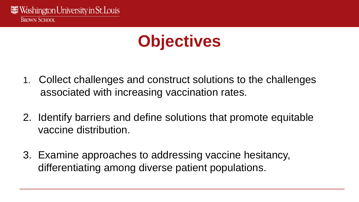### **Objectives**

- 1. Collect challenges and construct solutions to the challenges associated with increasing vaccination rates.
- 2. Identify barriers and define solutions that promote equitable vaccine distribution.
- 3. Examine approaches to addressing vaccine hesitancy, differentiating among diverse patient populations.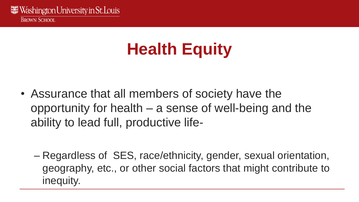# **Health Equity**

• Assurance that all members of society have the opportunity for health – a sense of well-being and the ability to lead full, productive life-

– Regardless of SES, race/ethnicity, gender, sexual orientation, geography, etc., or other social factors that might contribute to inequity.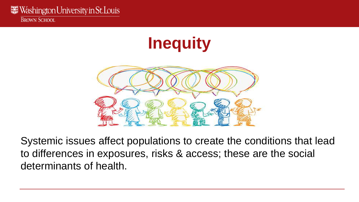**Inequity**



Systemic issues affect populations to create the conditions that lead to differences in exposures, risks & access; these are the social determinants of health.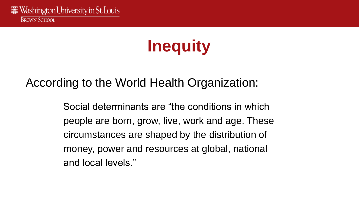# **Inequity**

#### According to the World Health Organization:

Social determinants are "the conditions in which people are born, grow, live, work and age. These circumstances are shaped by the distribution of money, power and resources at global, national and local levels."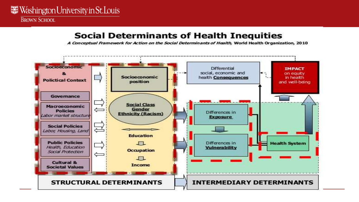#### **Social Determinants of Health Inequities**

A Conceptual Framework for Action on the Social Determinants of Health, World Health Organization, 2010

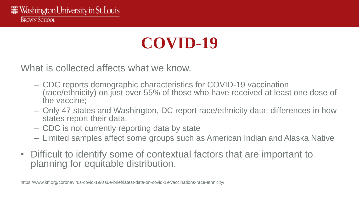### **COVID-19**

What is collected affects what we know.

- CDC reports demographic characteristics for COVID-19 vaccination (race/ethnicity) on just over 55% of those who have received at least one dose of the vaccine;
- Only 47 states and Washington, DC report race/ethnicity data; differences in how states report their data.
- CDC is not currently reporting data by state
- Limited samples affect some groups such as American Indian and Alaska Native
- Difficult to identify some of contextual factors that are important to planning for equitable distribution.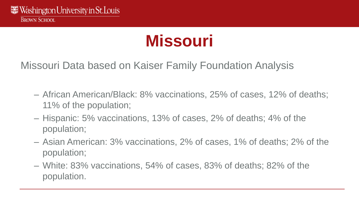### **Missouri**

Missouri Data based on Kaiser Family Foundation Analysis

- African American/Black: 8% vaccinations, 25% of cases, 12% of deaths; 11% of the population;
- Hispanic: 5% vaccinations, 13% of cases, 2% of deaths; 4% of the population;
- Asian American: 3% vaccinations, 2% of cases, 1% of deaths; 2% of the population;
- White: 83% vaccinations, 54% of cases, 83% of deaths; 82% of the population.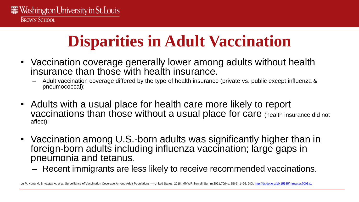### **Disparities in Adult Vaccination**

- Vaccination coverage generally lower among adults without health insurance than those with health insurance.
	- Adult vaccination coverage differed by the type of health insurance (private vs. public except influenza & pneumococcal);
- Adults with a usual place for health care more likely to report vaccinations than those without a usual place for care (health insurance did not affect);
- Vaccination among U.S.-born adults was significantly higher than in foreign-born adults including influenza vaccination; large gaps in pneumonia and tetanus.
	- Recent immigrants are less likely to receive recommended vaccinations.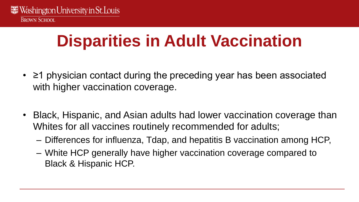## **Disparities in Adult Vaccination**

- ≥1 physician contact during the preceding year has been associated with higher vaccination coverage.
- Black, Hispanic, and Asian adults had lower vaccination coverage than Whites for all vaccines routinely recommended for adults;
	- Differences for influenza, Tdap, and hepatitis B vaccination among HCP,
	- White HCP generally have higher vaccination coverage compared to Black & Hispanic HCP.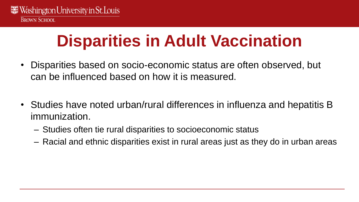# **Disparities in Adult Vaccination**

- Disparities based on socio-economic status are often observed, but can be influenced based on how it is measured.
- Studies have noted urban/rural differences in influenza and hepatitis B immunization.
	- Studies often tie rural disparities to socioeconomic status
	- Racial and ethnic disparities exist in rural areas just as they do in urban areas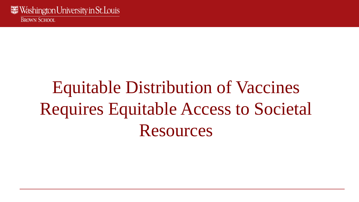# Equitable Distribution of Vaccines Requires Equitable Access to Societal Resources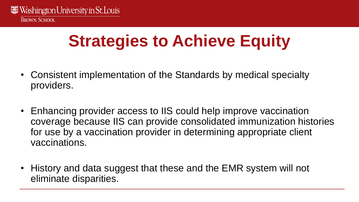# **Strategies to Achieve Equity**

- Consistent implementation of the Standards by medical specialty providers.
- Enhancing provider access to IIS could help improve vaccination coverage because IIS can provide consolidated immunization histories for use by a vaccination provider in determining appropriate client vaccinations.
- History and data suggest that these and the EMR system will not eliminate disparities.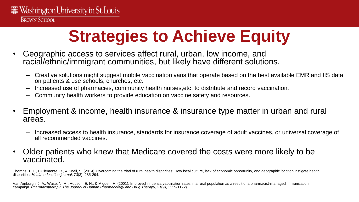# **Strategies to Achieve Equity**

- Geographic access to services affect rural, urban, low income, and racial/ethnic/immigrant communities, but likely have different solutions.
	- Creative solutions might suggest mobile vaccination vans that operate based on the best available EMR and IIS data on patients & use schools, churches, etc.
	- Increased use of pharmacies, community health nurses,etc. to distribute and record vaccination.
	- Community health workers to provide education on vaccine safety and resources.
- Employment & income, health insurance & insurance type matter in urban and rural areas.
	- Increased access to health insurance, standards for insurance coverage of adult vaccines, or universal coverage of all recommended vaccines.
- Older patients who knew that Medicare covered the costs were more likely to be vaccinated.

Thomas, T. L., DiClemente, R., & Snell, S. (2014). Overcoming the triad of rural health disparities: How local culture, lack of economic opportunity, and geographic location instigate health disparities. *Health education journal*, *73*(3), 285-294.

Van Amburgh, J. A., Waite, N. M., Hobson, E. H., & Migden, H. (2001). Improved influenza vaccination rates in a rural population as a result of a pharmacist-managed immunization campaign. *Pharmacotherapy: The Journal of Human Pharmacology and Drug Therapy*, *21*(9), 1115-1122).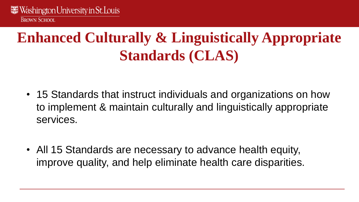#### **Enhanced Culturally & Linguistically Appropriate Standards (CLAS)**

- 15 Standards that instruct individuals and organizations on how to implement & maintain culturally and linguistically appropriate services.
- All 15 Standards are necessary to advance health equity, improve quality, and help eliminate health care disparities.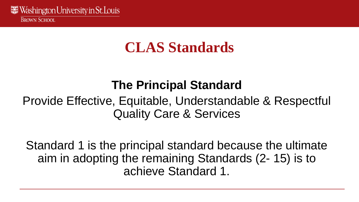#### **CLAS Standards**

#### **The Principal Standard**

#### Provide Effective, Equitable, Understandable & Respectful Quality Care & Services

Standard 1 is the principal standard because the ultimate aim in adopting the remaining Standards (2- 15) is to achieve Standard 1.